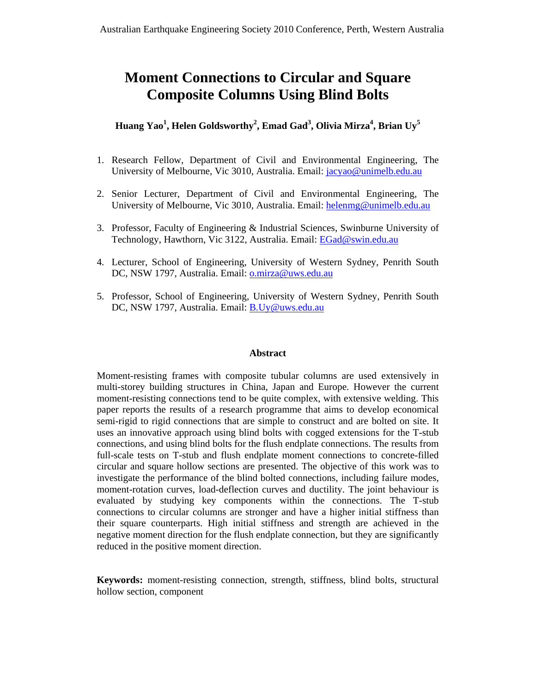# **Moment Connections to Circular and Square Composite Columns Using Blind Bolts**

**Huang Yao<sup>1</sup> , Helen Goldsworthy2 , Emad Gad<sup>3</sup> , Olivia Mirza4 , Brian Uy5**

- 1. Research Fellow, Department of Civil and Environmental Engineering, The University of Melbourne, Vic 3010, Australia. Email: jacyao@unimelb.edu.au
- 2. Senior Lecturer, Department of Civil and Environmental Engineering, The University of Melbourne, Vic 3010, Australia. Email: helenmg@unimelb.edu.au
- 3. Professor, Faculty of Engineering & Industrial Sciences, Swinburne University of Technology, Hawthorn, Vic 3122, Australia. Email: EGad@swin.edu.au
- 4. Lecturer, School of Engineering, University of Western Sydney, Penrith South DC, NSW 1797, Australia. Email: o.mirza@uws.edu.au
- 5. Professor, School of Engineering, University of Western Sydney, Penrith South DC, NSW 1797, Australia. Email: B.Uy@uws.edu.au

## **Abstract**

Moment-resisting frames with composite tubular columns are used extensively in multi-storey building structures in China, Japan and Europe. However the current moment-resisting connections tend to be quite complex, with extensive welding. This paper reports the results of a research programme that aims to develop economical semi-rigid to rigid connections that are simple to construct and are bolted on site. It uses an innovative approach using blind bolts with cogged extensions for the T-stub connections, and using blind bolts for the flush endplate connections. The results from full-scale tests on T-stub and flush endplate moment connections to concrete-filled circular and square hollow sections are presented. The objective of this work was to investigate the performance of the blind bolted connections, including failure modes, moment-rotation curves, load-deflection curves and ductility. The joint behaviour is evaluated by studying key components within the connections. The T-stub connections to circular columns are stronger and have a higher initial stiffness than their square counterparts. High initial stiffness and strength are achieved in the negative moment direction for the flush endplate connection, but they are significantly reduced in the positive moment direction.

**Keywords:** moment-resisting connection, strength, stiffness, blind bolts, structural hollow section, component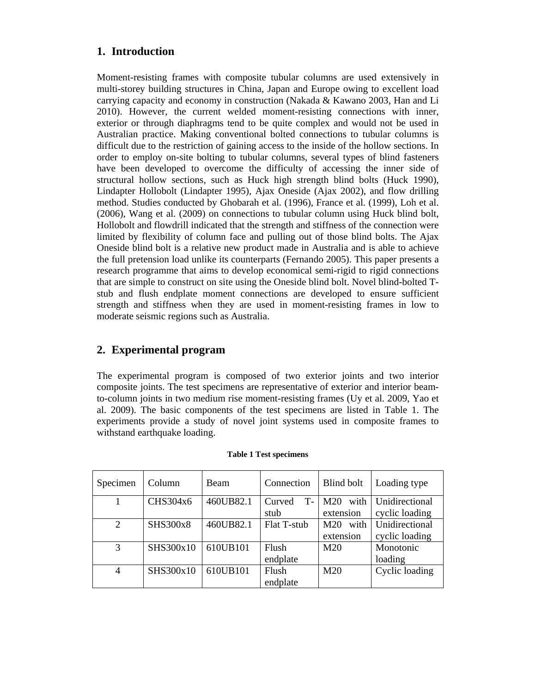# **1. Introduction**

Moment-resisting frames with composite tubular columns are used extensively in multi-storey building structures in China, Japan and Europe owing to excellent load carrying capacity and economy in construction (Nakada & Kawano 2003, Han and Li 2010). However, the current welded moment-resisting connections with inner, exterior or through diaphragms tend to be quite complex and would not be used in Australian practice. Making conventional bolted connections to tubular columns is difficult due to the restriction of gaining access to the inside of the hollow sections. In order to employ on-site bolting to tubular columns, several types of blind fasteners have been developed to overcome the difficulty of accessing the inner side of structural hollow sections, such as Huck high strength blind bolts (Huck 1990), Lindapter Hollobolt (Lindapter 1995), Ajax Oneside (Ajax 2002), and flow drilling method. Studies conducted by Ghobarah et al. (1996), France et al. (1999), Loh et al. (2006), Wang et al. (2009) on connections to tubular column using Huck blind bolt, Hollobolt and flowdrill indicated that the strength and stiffness of the connection were limited by flexibility of column face and pulling out of those blind bolts. The Ajax Oneside blind bolt is a relative new product made in Australia and is able to achieve the full pretension load unlike its counterparts (Fernando 2005). This paper presents a research programme that aims to develop economical semi-rigid to rigid connections that are simple to construct on site using the Oneside blind bolt. Novel blind-bolted Tstub and flush endplate moment connections are developed to ensure sufficient strength and stiffness when they are used in moment-resisting frames in low to moderate seismic regions such as Australia.

# **2. Experimental program**

The experimental program is composed of two exterior joints and two interior composite joints. The test specimens are representative of exterior and interior beamto-column joints in two medium rise moment-resisting frames (Uy et al. 2009, Yao et al. 2009). The basic components of the test specimens are listed in Table 1. The experiments provide a study of novel joint systems used in composite frames to withstand earthquake loading.

| Specimen       | Column    | <b>Beam</b> | Connection     | <b>Blind bolt</b> | Loading type   |
|----------------|-----------|-------------|----------------|-------------------|----------------|
|                | CHS304x6  | 460UB82.1   | $T-$<br>Curved | with<br>M20       | Unidirectional |
|                |           |             | stub           | extension         | cyclic loading |
| $\overline{2}$ | SHS300x8  | 460UB82.1   | Flat T-stub    | with<br>M20       | Unidirectional |
|                |           |             |                | extension         | cyclic loading |
| 3              | SHS300x10 | 610UB101    | Flush          | M20               | Monotonic      |
|                |           |             | endplate       |                   | loading        |
| $\overline{4}$ | SHS300x10 | 610UB101    | Flush          | M <sub>20</sub>   | Cyclic loading |
|                |           |             | endplate       |                   |                |

#### **Table 1 Test specimens**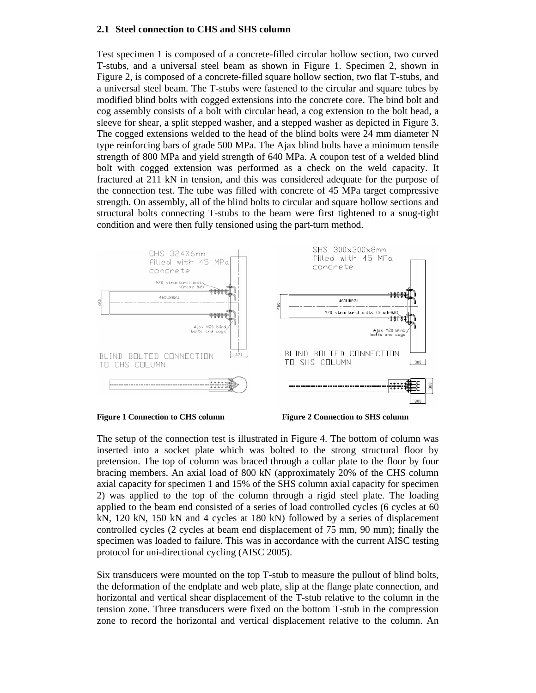## **2.1 Steel connection to CHS and SHS column**

Test specimen 1 is composed of a concrete-filled circular hollow section, two curved T-stubs, and a universal steel beam as shown in Figure 1. Specimen 2, shown in Figure 2, is composed of a concrete-filled square hollow section, two flat T-stubs, and a universal steel beam. The T-stubs were fastened to the circular and square tubes by modified blind bolts with cogged extensions into the concrete core. The bind bolt and cog assembly consists of a bolt with circular head, a cog extension to the bolt head, a sleeve for shear, a split stepped washer, and a stepped washer as depicted in Figure 3. The cogged extensions welded to the head of the blind bolts were 24 mm diameter N type reinforcing bars of grade 500 MPa. The Ajax blind bolts have a minimum tensile strength of 800 MPa and yield strength of 640 MPa. A coupon test of a welded blind bolt with cogged extension was performed as a check on the weld capacity. It fractured at 211 kN in tension, and this was considered adequate for the purpose of the connection test. The tube was filled with concrete of 45 MPa target compressive strength. On assembly, all of the blind bolts to circular and square hollow sections and structural bolts connecting T-stubs to the beam were first tightened to a snug-tight condition and were then fully tensioned using the part-turn method.





The setup of the connection test is illustrated in Figure 4. The bottom of column was inserted into a socket plate which was bolted to the strong structural floor by pretension. The top of column was braced through a collar plate to the floor by four bracing members. An axial load of 800 kN (approximately 20% of the CHS column axial capacity for specimen 1 and 15% of the SHS column axial capacity for specimen 2) was applied to the top of the column through a rigid steel plate. The loading applied to the beam end consisted of a series of load controlled cycles (6 cycles at 60 kN, 120 kN, 150 kN and 4 cycles at 180 kN) followed by a series of displacement controlled cycles (2 cycles at beam end displacement of 75 mm, 90 mm); finally the specimen was loaded to failure. This was in accordance with the current AISC testing protocol for uni-directional cycling (AISC 2005).

Six transducers were mounted on the top T-stub to measure the pullout of blind bolts, the deformation of the endplate and web plate, slip at the flange plate connection, and horizontal and vertical shear displacement of the T-stub relative to the column in the tension zone. Three transducers were fixed on the bottom T-stub in the compression zone to record the horizontal and vertical displacement relative to the column. An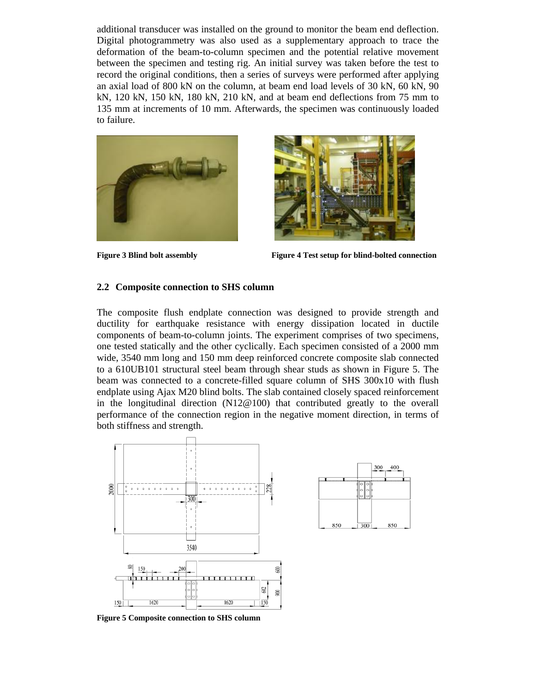additional transducer was installed on the ground to monitor the beam end deflection. Digital photogrammetry was also used as a supplementary approach to trace the deformation of the beam-to-column specimen and the potential relative movement between the specimen and testing rig. An initial survey was taken before the test to record the original conditions, then a series of surveys were performed after applying an axial load of 800 kN on the column, at beam end load levels of 30 kN, 60 kN, 90 kN, 120 kN, 150 kN, 180 kN, 210 kN, and at beam end deflections from 75 mm to 135 mm at increments of 10 mm. Afterwards, the specimen was continuously loaded to failure.





**Figure 3 Blind bolt assembly Figure 4 Test setup for blind-bolted connection** 

850

 $|300$ 

## **2.2 Composite connection to SHS column**

The composite flush endplate connection was designed to provide strength and ductility for earthquake resistance with energy dissipation located in ductile components of beam-to-column joints. The experiment comprises of two specimens, one tested statically and the other cyclically. Each specimen consisted of a 2000 mm wide, 3540 mm long and 150 mm deep reinforced concrete composite slab connected to a 610UB101 structural steel beam through shear studs as shown in Figure 5. The beam was connected to a concrete-filled square column of SHS 300x10 with flush endplate using Ajax M20 blind bolts. The slab contained closely spaced reinforcement in the longitudinal direction (N12@100) that contributed greatly to the overall performance of the connection region in the negative moment direction, in terms of both stiffness and strength.



**Figure 5 Composite connection to SHS column**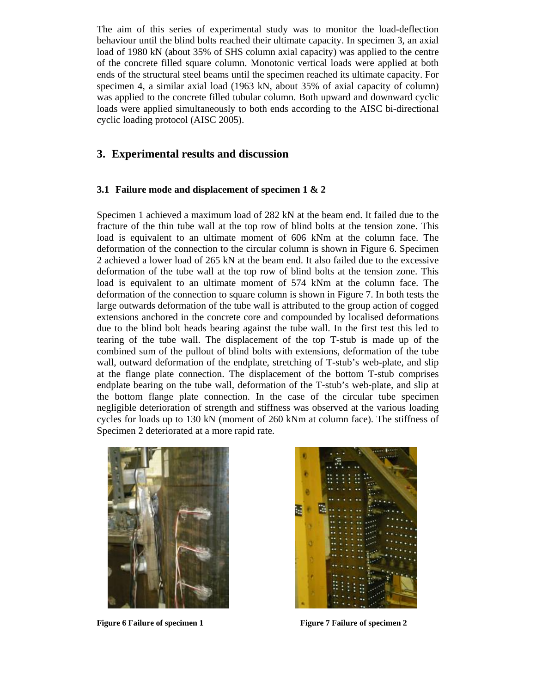The aim of this series of experimental study was to monitor the load-deflection behaviour until the blind bolts reached their ultimate capacity. In specimen 3, an axial load of 1980 kN (about 35% of SHS column axial capacity) was applied to the centre of the concrete filled square column. Monotonic vertical loads were applied at both ends of the structural steel beams until the specimen reached its ultimate capacity. For specimen 4, a similar axial load (1963 kN, about 35% of axial capacity of column) was applied to the concrete filled tubular column. Both upward and downward cyclic loads were applied simultaneously to both ends according to the AISC bi-directional cyclic loading protocol (AISC 2005).

## **3. Experimental results and discussion**

## **3.1 Failure mode and displacement of specimen 1 & 2**

Specimen 1 achieved a maximum load of 282 kN at the beam end. It failed due to the fracture of the thin tube wall at the top row of blind bolts at the tension zone. This load is equivalent to an ultimate moment of 606 kNm at the column face. The deformation of the connection to the circular column is shown in Figure 6. Specimen 2 achieved a lower load of 265 kN at the beam end. It also failed due to the excessive deformation of the tube wall at the top row of blind bolts at the tension zone. This load is equivalent to an ultimate moment of 574 kNm at the column face. The deformation of the connection to square column is shown in Figure 7. In both tests the large outwards deformation of the tube wall is attributed to the group action of cogged extensions anchored in the concrete core and compounded by localised deformations due to the blind bolt heads bearing against the tube wall. In the first test this led to tearing of the tube wall. The displacement of the top T-stub is made up of the combined sum of the pullout of blind bolts with extensions, deformation of the tube wall, outward deformation of the endplate, stretching of T-stub's web-plate, and slip at the flange plate connection. The displacement of the bottom T-stub comprises endplate bearing on the tube wall, deformation of the T-stub's web-plate, and slip at the bottom flange plate connection. In the case of the circular tube specimen negligible deterioration of strength and stiffness was observed at the various loading cycles for loads up to 130 kN (moment of 260 kNm at column face). The stiffness of Specimen 2 deteriorated at a more rapid rate.





Figure 6 Failure of specimen 1 Figure 7 Failure of specimen 2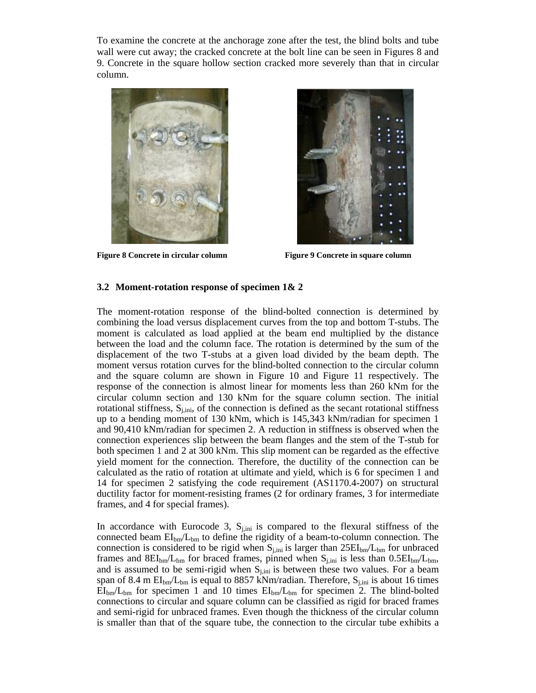To examine the concrete at the anchorage zone after the test, the blind bolts and tube wall were cut away; the cracked concrete at the bolt line can be seen in Figures 8 and 9. Concrete in the square hollow section cracked more severely than that in circular column.



**Figure 8 Concrete in circular column Figure 9 Concrete in square column Figure 3** 



## **3.2 Moment-rotation response of specimen 1& 2**

The moment-rotation response of the blind-bolted connection is determined by combining the load versus displacement curves from the top and bottom T-stubs. The moment is calculated as load applied at the beam end multiplied by the distance between the load and the column face. The rotation is determined by the sum of the displacement of the two T-stubs at a given load divided by the beam depth. The moment versus rotation curves for the blind-bolted connection to the circular column and the square column are shown in Figure 10 and Figure 11 respectively. The response of the connection is almost linear for moments less than 260 kNm for the circular column section and 130 kNm for the square column section. The initial rotational stiffness,  $S_{j,ini}$ , of the connection is defined as the secant rotational stiffness up to a bending moment of 130 kNm, which is 145,343 kNm/radian for specimen 1 and 90,410 kNm/radian for specimen 2. A reduction in stiffness is observed when the connection experiences slip between the beam flanges and the stem of the T-stub for both specimen 1 and 2 at 300 kNm. This slip moment can be regarded as the effective yield moment for the connection. Therefore, the ductility of the connection can be calculated as the ratio of rotation at ultimate and yield, which is 6 for specimen 1 and 14 for specimen 2 satisfying the code requirement (AS1170.4-2007) on structural ductility factor for moment-resisting frames (2 for ordinary frames, 3 for intermediate frames, and 4 for special frames).

In accordance with Eurocode 3,  $S_{j,ini}$  is compared to the flexural stiffness of the connected beam  $EI_{bm}/L_{bm}$  to define the rigidity of a beam-to-column connection. The connection is considered to be rigid when  $S_{j,ini}$  is larger than  $25EI_{bm}/L_{bm}$  for unbraced frames and  $8EI_{bm}/L_{bm}$  for braced frames, pinned when  $S_{j,ini}$  is less than  $0.5EI_{bm}/L_{bm}$ , and is assumed to be semi-rigid when  $S_{i,ini}$  is between these two values. For a beam span of 8.4 m  $EI_{bm}/L_{bm}$  is equal to 8857 kNm/radian. Therefore,  $S_{j,ini}$  is about 16 times  $EI_{bm}/L_{bm}$  for specimen 1 and 10 times  $EI_{bm}/L_{bm}$  for specimen 2. The blind-bolted connections to circular and square column can be classified as rigid for braced frames and semi-rigid for unbraced frames. Even though the thickness of the circular column is smaller than that of the square tube, the connection to the circular tube exhibits a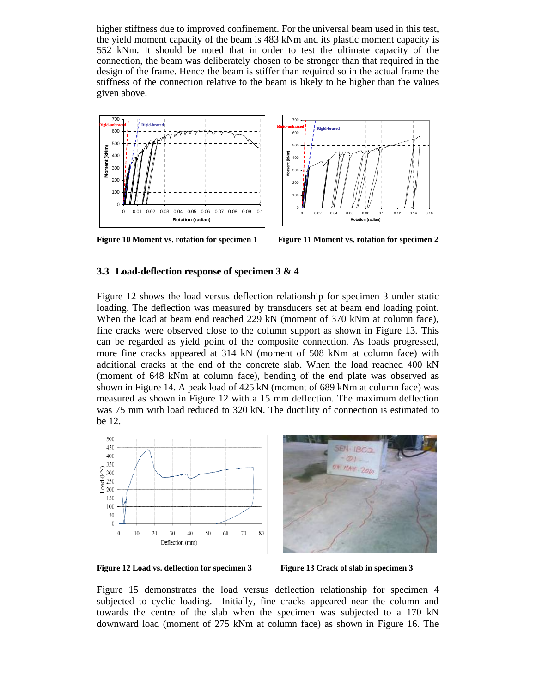higher stiffness due to improved confinement. For the universal beam used in this test, the yield moment capacity of the beam is 483 kNm and its plastic moment capacity is 552 kNm. It should be noted that in order to test the ultimate capacity of the connection, the beam was deliberately chosen to be stronger than that required in the design of the frame. Hence the beam is stiffer than required so in the actual frame the stiffness of the connection relative to the beam is likely to be higher than the values given above.





**Figure 10 Moment vs. rotation for specimen 1 Figure 11 Moment vs. rotation for specimen 2** 

## **3.3 Load-deflection response of specimen 3 & 4**

Figure 12 shows the load versus deflection relationship for specimen 3 under static loading. The deflection was measured by transducers set at beam end loading point. When the load at beam end reached 229 kN (moment of 370 kNm at column face), fine cracks were observed close to the column support as shown in Figure 13. This can be regarded as yield point of the composite connection. As loads progressed, more fine cracks appeared at 314 kN (moment of 508 kNm at column face) with additional cracks at the end of the concrete slab. When the load reached 400 kN (moment of 648 kNm at column face), bending of the end plate was observed as shown in Figure 14. A peak load of 425 kN (moment of 689 kNm at column face) was measured as shown in Figure 12 with a 15 mm deflection. The maximum deflection was 75 mm with load reduced to 320 kN. The ductility of connection is estimated to be 12.



Figure 12 Load vs. deflection for specimen 3 Figure 13 Crack of slab in specimen 3

Figure 15 demonstrates the load versus deflection relationship for specimen 4 subjected to cyclic loading. Initially, fine cracks appeared near the column and towards the centre of the slab when the specimen was subjected to a 170 kN downward load (moment of 275 kNm at column face) as shown in Figure 16. The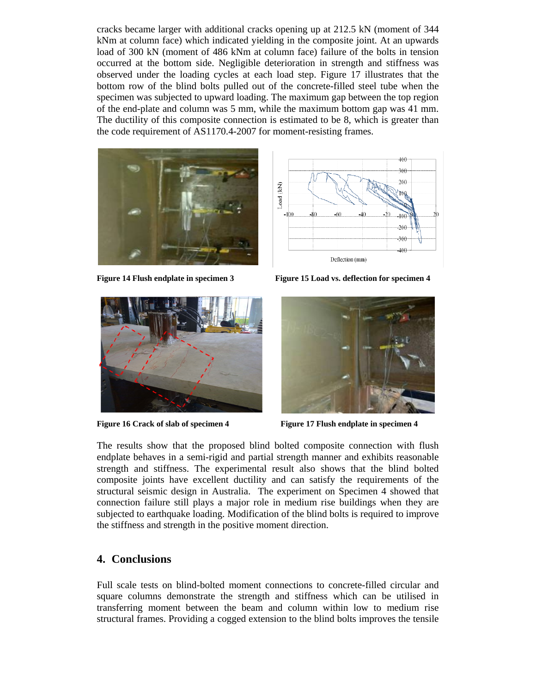cracks became larger with additional cracks opening up at 212.5 kN (moment of 344 kNm at column face) which indicated yielding in the composite joint. At an upwards load of 300 kN (moment of 486 kNm at column face) failure of the bolts in tension occurred at the bottom side. Negligible deterioration in strength and stiffness was observed under the loading cycles at each load step. Figure 17 illustrates that the bottom row of the blind bolts pulled out of the concrete-filled steel tube when the specimen was subjected to upward loading. The maximum gap between the top region of the end-plate and column was 5 mm, while the maximum bottom gap was 41 mm. The ductility of this composite connection is estimated to be 8, which is greater than the code requirement of AS1170.4-2007 for moment-resisting frames.







**Figure 14 Flush endplate in specimen 3 Figure 15 Load vs. deflection for specimen 4** 



Figure 16 Crack of slab of specimen 4 Figure 17 Flush endplate in specimen 4

The results show that the proposed blind bolted composite connection with flush endplate behaves in a semi-rigid and partial strength manner and exhibits reasonable strength and stiffness. The experimental result also shows that the blind bolted composite joints have excellent ductility and can satisfy the requirements of the structural seismic design in Australia. The experiment on Specimen 4 showed that connection failure still plays a major role in medium rise buildings when they are subjected to earthquake loading. Modification of the blind bolts is required to improve the stiffness and strength in the positive moment direction.

# **4. Conclusions**

Full scale tests on blind-bolted moment connections to concrete-filled circular and square columns demonstrate the strength and stiffness which can be utilised in transferring moment between the beam and column within low to medium rise structural frames. Providing a cogged extension to the blind bolts improves the tensile